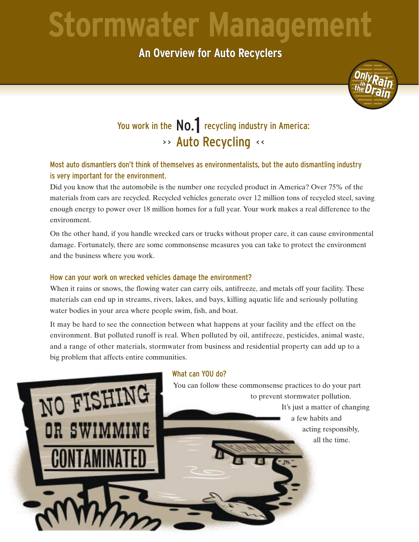# **Stormwater Management**

**An Overview for Auto Recyclers An Overview for Auto Recyclers**



### You work in the  $\textsf{NO.}\parallel$  recycling industry in America: >> Auto Recycling << No.1

#### Most auto dismantlers don't think of themselves as environmentalists, but the auto dismantling industry is very important for the environment.

Did you know that the automobile is the number one recycled product in America? Over 75% of the materials from cars are recycled. Recycled vehicles generate over 12 million tons of recycled steel, saving enough energy to power over 18 million homes for a full year. Your work makes a real difference to the environment.

On the other hand, if you handle wrecked cars or trucks without proper care, it can cause environmental damage. Fortunately, there are some commonsense measures you can take to protect the environment and the business where you work.

#### How can your work on wrecked vehicles damage the environment?

When it rains or snows, the flowing water can carry oils, antifreeze, and metals off your facility. These materials can end up in streams, rivers, lakes, and bays, killing aquatic life and seriously polluting water bodies in your area where people swim, fish, and boat.

It may be hard to see the connection between what happens at your facility and the effect on the environment. But polluted runoff is real. When polluted by oil, antifreeze, pesticides, animal waste, and a range of other materials, stormwater from business and residential property can add up to a big problem that affects entire communities.